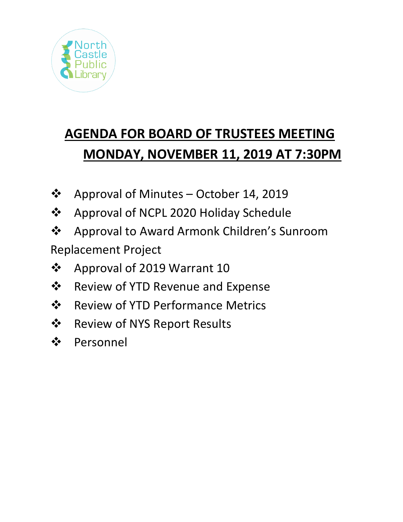

# **AGENDA FOR BOARD OF TRUSTEES MEETING MONDAY, NOVEMBER 11, 2019 AT 7:30PM**

- Approval of Minutes October 14, 2019
- ❖ Approval of NCPL 2020 Holiday Schedule
- Approval to Award Armonk Children's Sunroom Replacement Project
- ❖ Approval of 2019 Warrant 10
- **\*** Review of YTD Revenue and Expense
- ❖ Review of YTD Performance Metrics
- ❖ Review of NYS Report Results
- ❖ Personnel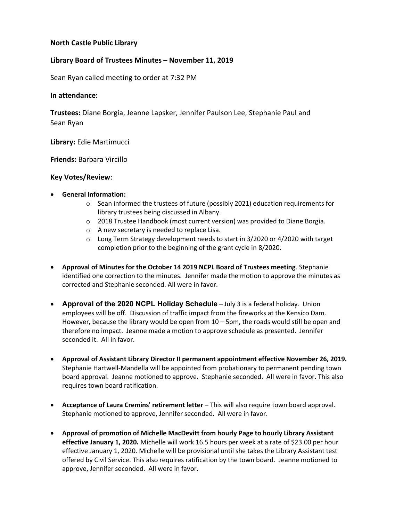## **North Castle Public Library**

## **Library Board of Trustees Minutes – November 11, 2019**

Sean Ryan called meeting to order at 7:32 PM

#### **In attendance:**

**Trustees:** Diane Borgia, Jeanne Lapsker, Jennifer Paulson Lee, Stephanie Paul and Sean Ryan

**Library:** Edie Martimucci

**Friends:** Barbara Vircillo

#### **Key Votes/Review**:

#### • **General Information:**

- $\circ$  Sean informed the trustees of future (possibly 2021) education requirements for library trustees being discussed in Albany.
- o 2018 Trustee Handbook (most current version) was provided to Diane Borgia.
- o A new secretary is needed to replace Lisa.
- o Long Term Strategy development needs to start in 3/2020 or 4/2020 with target completion prior to the beginning of the grant cycle in 8/2020.
- **Approval of Minutes for the October 14 2019 NCPL Board of Trustees meeting**. Stephanie identified one correction to the minutes. Jennifer made the motion to approve the minutes as corrected and Stephanie seconded. All were in favor.
- **Approval of the 2020 NCPL Holiday Schedule** July 3 is a federal holiday. Union employees will be off. Discussion of traffic impact from the fireworks at the Kensico Dam. However, because the library would be open from  $10 - 5$ pm, the roads would still be open and therefore no impact. Jeanne made a motion to approve schedule as presented. Jennifer seconded it. All in favor.
- **Approval of Assistant Library Director II permanent appointment effective November 26, 2019.**  Stephanie Hartwell-Mandella will be appointed from probationary to permanent pending town board approval. Jeanne motioned to approve. Stephanie seconded. All were in favor. This also requires town board ratification.
- **Acceptance of Laura Cremins' retirement letter –** This will also require town board approval. Stephanie motioned to approve, Jennifer seconded. All were in favor.
- **Approval of promotion of Michelle MacDevitt from hourly Page to hourly Library Assistant effective January 1, 2020.** Michelle will work 16.5 hours per week at a rate of \$23.00 per hour effective January 1, 2020. Michelle will be provisional until she takes the Library Assistant test offered by Civil Service. This also requires ratification by the town board. Jeanne motioned to approve, Jennifer seconded. All were in favor.